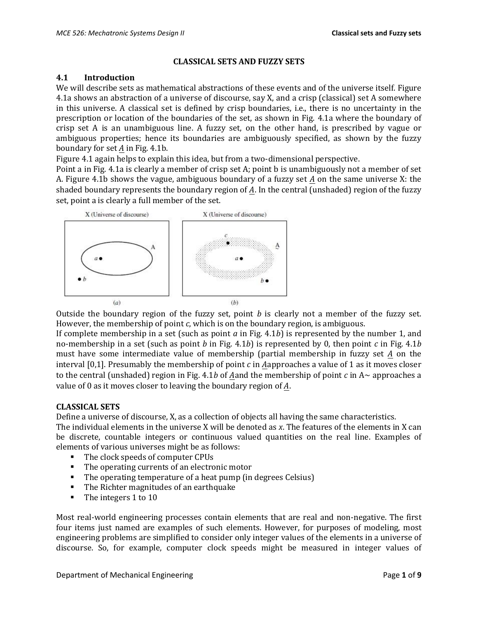#### **CLASSICAL SETS AND FUZZY SETS**

#### **4.1 Introduction**

We will describe sets as mathematical abstractions of these events and of the universe itself. Figure 4.1a shows an abstraction of a universe of discourse, say X, and a crisp (classical) set A somewhere in this universe. A classical set is defined by crisp boundaries, i.e., there is no uncertainty in the prescription or location of the boundaries of the set, as shown in Fig. 4.1a where the boundary of crisp set A is an unambiguous line. A fuzzy set, on the other hand, is prescribed by vague or ambiguous properties; hence its boundaries are ambiguously specified, as shown by the fuzzy boundary for set  $A$  in Fig. 4.1b.

Figure 4.1 again helps to explain this idea, but from a two-dimensional perspective.

Point a in Fig. 4.1a is clearly a member of crisp set A; point b is unambiguously not a member of set A. Figure 4.1b shows the vague, ambiguous boundary of a fuzzy set  $A$  on the same universe X: the shaded boundary represents the boundary region of  $A$ . In the central (unshaded) region of the fuzzy set, point a is clearly a full member of the set.



Outside the boundary region of the fuzzy set, point *b* is clearly not a member of the fuzzy set. However, the membership of point *c*, which is on the boundary region, is ambiguous.

If complete membership in a set (such as point *a* in Fig. 4.1*b*) is represented by the number 1, and no-membership in a set (such as point *b* in Fig. 4.1*b*) is represented by 0, then point *c* in Fig. 4.1*b*  must have some intermediate value of membership (partial membership in fuzzy set  $A$  on the interval  $[0,1]$ . Presumably the membership of point  $c$  in Aapproaches a value of 1 as it moves closer to the central (unshaded) region in Fig. 4.1*b* of and the membership of point *c* in A∼ approaches a value of 0 as it moves closer to leaving the boundary region of  $A$ .

#### **CLASSICAL SETS**

Define a universe of discourse, X, as a collection of objects all having the same characteristics.

The individual elements in the universe X will be denoted as *x*. The features of the elements in X can be discrete, countable integers or continuous valued quantities on the real line. Examples of elements of various universes might be as follows:

- The clock speeds of computer CPUs
- The operating currents of an electronic motor
- The operating temperature of a heat pump (in degrees Celsius)
- The Richter magnitudes of an earthquake
- The integers 1 to 10

Most real-world engineering processes contain elements that are real and non-negative. The first four items just named are examples of such elements. However, for purposes of modeling, most engineering problems are simplified to consider only integer values of the elements in a universe of discourse. So, for example, computer clock speeds might be measured in integer values of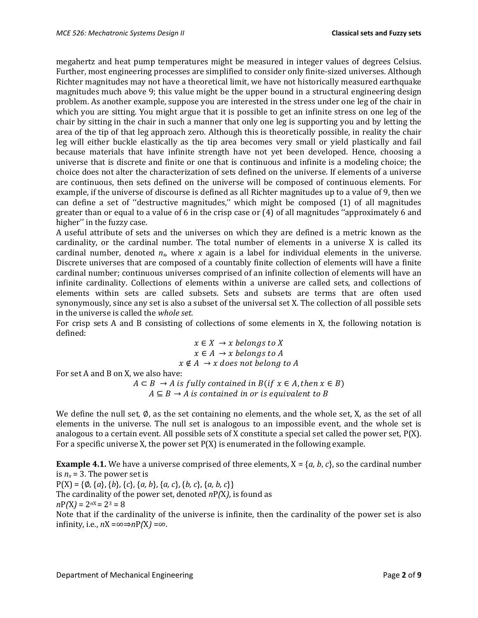megahertz and heat pump temperatures might be measured in integer values of degrees Celsius. Further, most engineering processes are simplified to consider only finite-sized universes. Although Richter magnitudes may not have a theoretical limit, we have not historically measured earthquake magnitudes much above 9; this value might be the upper bound in a structural engineering design problem. As another example, suppose you are interested in the stress under one leg of the chair in which you are sitting. You might argue that it is possible to get an infinite stress on one leg of the chair by sitting in the chair in such a manner that only one leg is supporting you and by letting the area of the tip of that leg approach zero. Although this is theoretically possible, in reality the chair leg will either buckle elastically as the tip area becomes very small or yield plastically and fail because materials that have infinite strength have not yet been developed. Hence, choosing a universe that is discrete and finite or one that is continuous and infinite is a modeling choice; the choice does not alter the characterization of sets defined on the universe. If elements of a universe are continuous, then sets defined on the universe will be composed of continuous elements. For example, if the universe of discourse is defined as all Richter magnitudes up to a value of 9, then we can define a set of ''destructive magnitudes,'' which might be composed (1) of all magnitudes greater than or equal to a value of 6 in the crisp case or (4) of all magnitudes ''approximately 6 and higher'' in the fuzzy case.

A useful attribute of sets and the universes on which they are defined is a metric known as the cardinality, or the cardinal number. The total number of elements in a universe X is called its cardinal number, denoted *nx*, where *x* again is a label for individual elements in the universe. Discrete universes that are composed of a countably finite collection of elements will have a finite cardinal number; continuous universes comprised of an infinite collection of elements will have an infinite cardinality. Collections of elements within a universe are called sets, and collections of elements within sets are called subsets. Sets and subsets are terms that are often used synonymously, since any set is also a subset of the universal set X. The collection of all possible sets in the universe is called the *whole set*.

For crisp sets A and B consisting of collections of some elements in X, the following notation is defined:  $\mathbb{R}^2$  $\mathbf{r}$ 

$$
x \in X \to x \text{ belongs to } X
$$
  
\n
$$
x \in A \to x \text{ belongs to } A
$$
  
\n
$$
x \notin A \to x \text{ does not belong to } A
$$
  
\nFor set A and B on X, we also have:  
\n
$$
A \subseteq B \to A \text{ is fully contained in } B(\text{if } x \in A, \text{ then } x \in B)
$$
  
\n
$$
A \subseteq B \to A \text{ is contained in or is equivalent to } B
$$

We define the null set,  $\emptyset$ , as the set containing no elements, and the whole set, X, as the set of all elements in the universe. The null set is analogous to an impossible event, and the whole set is analogous to a certain event. All possible sets of X constitute a special set called the power set, P(X). For a specific universe X, the power set  $P(X)$  is enumerated in the following example.

**Example 4.1.** We have a universe comprised of three elements,  $X = \{a, b, c\}$ , so the cardinal number is  $n_x = 3$ . The power set is P(X) = {∅, {*a*}, {*b*}, {*c*}, {*a, b*}, {*a, c*}, {*b, c*}, {*a, b, c*}} The cardinality of the power set, denoted *n*P*(*X*)*, is found as  $nP(X) = 2^{nX} = 2^3 = 8$ Note that if the cardinality of the universe is infinite, then the cardinality of the power set is also infinity, i.e.,  $nX = \infty \Rightarrow nP(X) = \infty$ .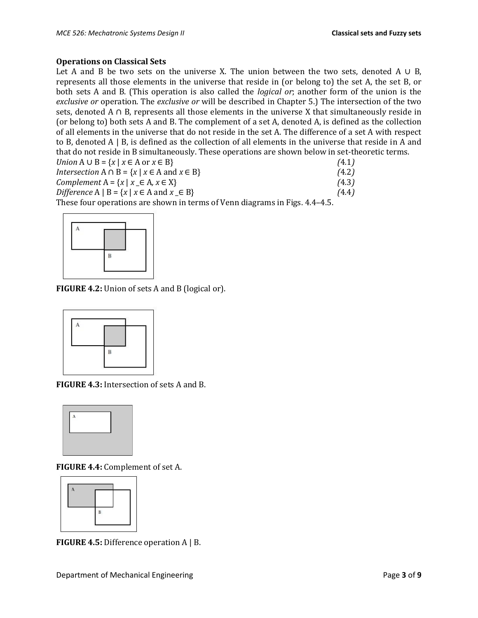### **Operations on Classical Sets**

Let A and B be two sets on the universe X. The union between the two sets, denoted A ∪ B, represents all those elements in the universe that reside in (or belong to) the set A, the set B, or both sets A and B. (This operation is also called the *logical or*; another form of the union is the *exclusive or* operation. The *exclusive or* will be described in Chapter 5.) The intersection of the two sets, denoted A ∩ B, represents all those elements in the universe X that simultaneously reside in (or belong to) both sets A and B. The complement of a set A, denoted A, is defined as the collection of all elements in the universe that do not reside in the set A. The difference of a set A with respect to B, denoted A | B, is defined as the collection of all elements in the universe that reside in A and that do not reside in B simultaneously. These operations are shown below in set-theoretic terms. *Union*  $A \cup B = \{x \mid x \in A \text{ or } x \in B\}$  *(4.1)* 

| Intersection $A \cap B = \{x \mid x \in A \text{ and } x \in B\}$          | (4.2) |
|----------------------------------------------------------------------------|-------|
| Complement $A = \{x \mid x \in A, x \in X\}$                               | (4.3) |
| <i>Difference</i> A $  B = \{x \mid x \in A \text{ and } x \subseteq B \}$ | (4.4) |

These four operations are shown in terms of Venn diagrams in Figs. 4.4–4.5.



**FIGURE 4.2:** Union of sets A and B (logical or).



**FIGURE 4.3:** Intersection of sets A and B.



**FIGURE 4.4:** Complement of set A.



**FIGURE 4.5:** Difference operation A | B.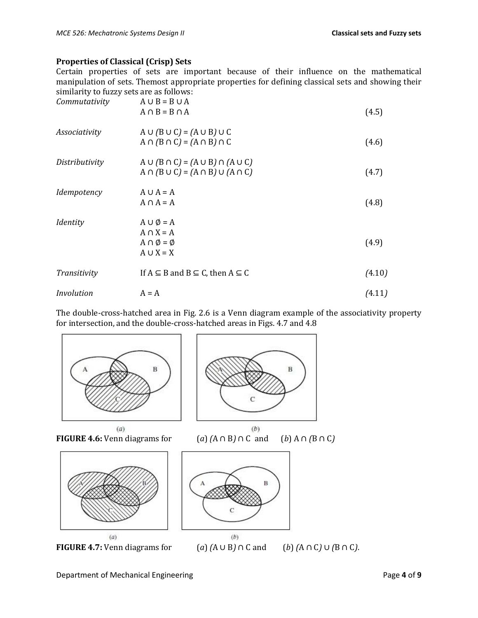### **Properties of Classical (Crisp) Sets**

Certain properties of sets are important because of their influence on the mathematical manipulation of sets. Themost appropriate properties for defining classical sets and showing their similarity to fuzzy sets are as follows:

| Commutativity   | $A \cup B = B \cup A$                                                                                |        |
|-----------------|------------------------------------------------------------------------------------------------------|--------|
|                 | $A \cap B = B \cap A$                                                                                | (4.5)  |
| Associativity   | $A \cup (B \cup C) = (A \cup B) \cup C$<br>$A \cap (B \cap C) = (A \cap B) \cap C$                   | (4.6)  |
| Distributivity  | $A \cup (B \cap C) = (A \cup B) \cap (A \cup C)$<br>$A \cap (B \cup C) = (A \cap B) \cup (A \cap C)$ | (4.7)  |
| Idempotency     | $A \cup A = A$<br>$A \cap A = A$                                                                     | (4.8)  |
| <i>Identity</i> | $A \cup \emptyset = A$<br>$A \cap X = A$<br>$A \cap \emptyset = \emptyset$<br>$A \cup X = X$         | (4.9)  |
| Transitivity    | If $A \subseteq B$ and $B \subseteq C$ , then $A \subseteq C$                                        | (4.10) |
| Involution      | $A = A$                                                                                              | (4.11) |

The double-cross-hatched area in Fig. 2.6 is a Venn diagram example of the associativity property for intersection, and the double-cross-hatched areas in Figs. 4.7 and 4.8

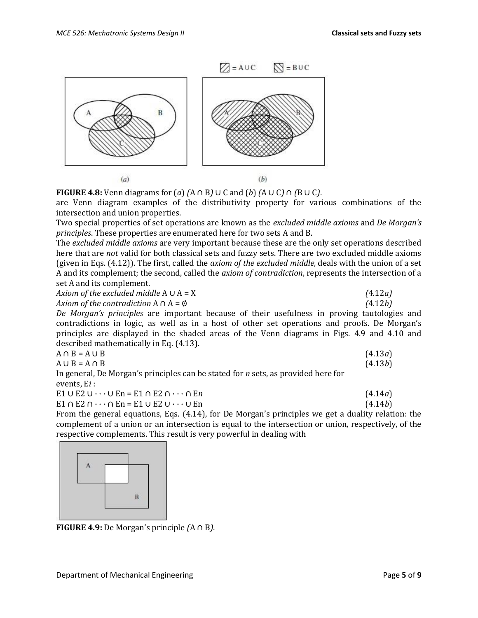

**FIGURE 4.8:** Venn diagrams for (*a*) *(*A ∩ B*)* ∪ C and (*b*) *(*A ∪ C*)* ∩ *(*B ∪ C*)*.

are Venn diagram examples of the distributivity property for various combinations of the intersection and union properties.

Two special properties of set operations are known as the *excluded middle axioms* and *De Morgan's principles*. These properties are enumerated here for two sets A and B.

The *excluded middle axioms* are very important because these are the only set operations described here that are *not* valid for both classical sets and fuzzy sets. There are two excluded middle axioms (given in Eqs. (4.12)). The first, called the *axiom of the excluded middle,* deals with the union of a set A and its complement; the second, called the *axiom of contradiction*, represents the intersection of a set A and its complement.

|  | Axiom of the excluded middle $A \cup A = X$       |  |  |  |  | (4.12a)                                                                                     |  |
|--|---------------------------------------------------|--|--|--|--|---------------------------------------------------------------------------------------------|--|
|  | Axiom of the contradiction $A \cap A = \emptyset$ |  |  |  |  | (4.12b)                                                                                     |  |
|  |                                                   |  |  |  |  | De Morgan's principles are important because of their usefulness in proving tautologies and |  |

contradictions in logic, as well as in a host of other set operations and proofs. De Morgan's principles are displayed in the shaded areas of the Venn diagrams in Figs. 4.9 and 4.10 and described mathematically in Eq. (4.13).

| $A \cap B = A \cup B$                                                                    | (4.13a) |
|------------------------------------------------------------------------------------------|---------|
| $A \cup B = A \cap B$                                                                    | (4.13b) |
| In general, De Morgan's principles can be stated for <i>n</i> sets, as provided here for |         |
| events, E <i>i</i> :                                                                     |         |

| E1 U E2 U $\cdots$ U En = E1 $\cap$ E2 $\cap$ $\cdots$ $\cap$ En | (4.14a) |
|------------------------------------------------------------------|---------|
|                                                                  |         |

E1 ∩ E2 ∩ · · · ∩ En = E1 ∪ E2 ∪ · · · ∪ En (4.14*b*)

From the general equations, Eqs. (4.14), for De Morgan's principles we get a duality relation: the complement of a union or an intersection is equal to the intersection or union, respectively, of the respective complements. This result is very powerful in dealing with



**FIGURE 4.9:** De Morgan's principle *(*A ∩ B*)*.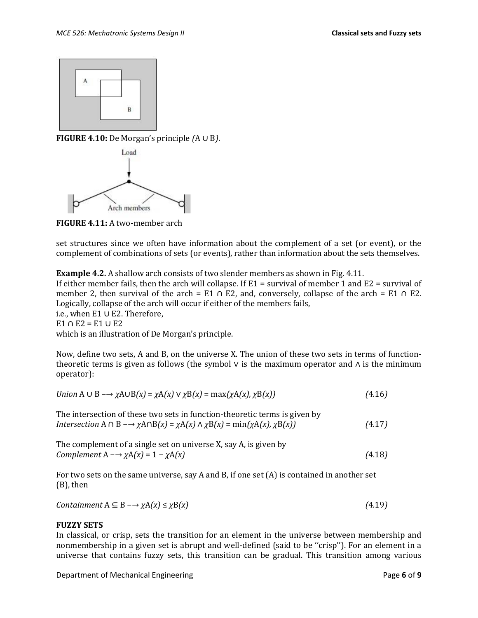

**FIGURE 4.10:** De Morgan's principle *(*A ∪ B*)*.



**FIGURE 4.11:** A two-member arch

set structures since we often have information about the complement of a set (or event), or the complement of combinations of sets (or events), rather than information about the sets themselves.

**Example 4.2.** A shallow arch consists of two slender members as shown in Fig. 4.11. If either member fails, then the arch will collapse. If E1 = survival of member 1 and E2 = survival of member 2, then survival of the arch = E1  $\cap$  E2, and, conversely, collapse of the arch = E1  $\cap$  E2. Logically, collapse of the arch will occur if either of the members fails, i.e., when E1 ∪ E2. Therefore, E1 ∩ E2 = E1 ∪ E2 which is an illustration of De Morgan's principle.

Now, define two sets, A and B, on the universe X. The union of these two sets in terms of functiontheoretic terms is given as follows (the symbol  $\vee$  is the maximum operator and  $\wedge$  is the minimum operator):

$$
Union A \cup B \longrightarrow \chi A \cup B(x) = \chi A(x) \lor \chi B(x) = \max(\chi A(x), \chi B(x))
$$
\n(4.16)

The intersection of these two sets in function-theoretic terms is given by *Intersection*  $A \cap B \longrightarrow \chi A \cap B(x) = \chi A(x) \land \chi B(x) = \min(\chi A(x), \chi B(x))$  (4.17)

The complement of a single set on universe X, say A, is given by  $Complement A \rightarrow \chi A(x) = 1 - \chi A(x)$  (4.18)

For two sets on the same universe, say A and B, if one set (A) is contained in another set (B), then

$$
Container \land \subseteq B \longrightarrow \chi \land (x) \leq \chi \land (x)
$$
\n
$$
(4.19)
$$

### **FUZZY SETS**

In classical, or crisp, sets the transition for an element in the universe between membership and nonmembership in a given set is abrupt and well-defined (said to be ''crisp''). For an element in a universe that contains fuzzy sets, this transition can be gradual. This transition among various

**Department of Mechanical Engineering** Page 6 of 9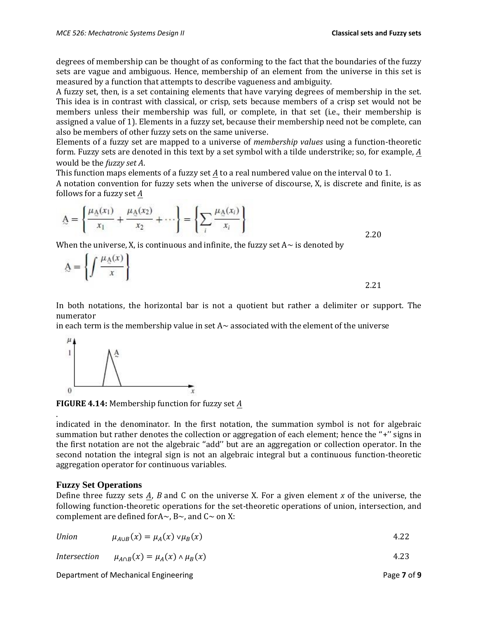degrees of membership can be thought of as conforming to the fact that the boundaries of the fuzzy sets are vague and ambiguous. Hence, membership of an element from the universe in this set is measured by a function that attempts to describe vagueness and ambiguity.

A fuzzy set, then, is a set containing elements that have varying degrees of membership in the set. This idea is in contrast with classical, or crisp, sets because members of a crisp set would not be members unless their membership was full, or complete, in that set (i.e., their membership is assigned a value of 1). Elements in a fuzzy set, because their membership need not be complete, can also be members of other fuzzy sets on the same universe.

Elements of a fuzzy set are mapped to a universe of *membership values* using a function-theoretic form. Fuzzy sets are denoted in this text by a set symbol with a tilde understrike; so, for example, A would be the *fuzzy set A*.

This function maps elements of a fuzzy set A to a real numbered value on the interval 0 to 1.

A notation convention for fuzzy sets when the universe of discourse, X, is discrete and finite, is as follows for a fuzzy set  $A$ 

$$
A = \left\{ \frac{\mu_{A}(x_1)}{x_1} + \frac{\mu_{A}(x_2)}{x_2} + \cdots \right\} = \left\{ \sum_{i} \frac{\mu_{A}(x_i)}{x_i} \right\}
$$

When the universe, X, is continuous and infinite, the fuzzy set A∼ is denoted by

$$
A = \left\{ \int \frac{\mu_A(x)}{x} \right\}
$$

In both notations, the horizontal bar is not a quotient but rather a delimiter or support. The numerator

in each term is the membership value in set A∼ associated with the element of the universe



**FIGURE 4.14:** Membership function for fuzzy set A

indicated in the denominator. In the first notation, the summation symbol is not for algebraic summation but rather denotes the collection or aggregation of each element; hence the "+" signs in the first notation are not the algebraic ''add'' but are an aggregation or collection operator. In the second notation the integral sign is not an algebraic integral but a continuous function-theoretic aggregation operator for continuous variables.

### **Fuzzy Set Operations**

.

Define three fuzzy sets  $A$ ,  $B$  and  $C$  on the universe X. For a given element  $x$  of the universe, the following function-theoretic operations for the set-theoretic operations of union, intersection, and complement are defined forA∼, B∼, and C∼ on X:

| Union | $\mu_{A \cup B}(x) = \mu_A(x) \vee \mu_B(x)$ | 4.22 |
|-------|----------------------------------------------|------|
|-------|----------------------------------------------|------|

*Intersection*  $\mu_{A \cap B}(x) = \mu_A(x) \wedge \mu_B(x)$  4.23

Department of Mechanical Engineering Page **7** of **9**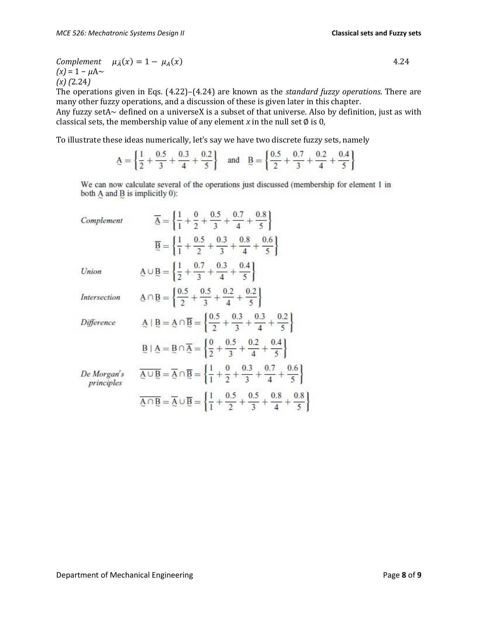Complement

\n
$$
\mu_{\bar{A}}(x) = 1 - \mu_{A}(x)
$$
\n(x) = 1 - \mu A~

\n(x) (2.24)

The operations given in Eqs. (4.22)–(4.24) are known as the *standard fuzzy operations*. There are many other fuzzy operations, and a discussion of these is given later in this chapter.

Any fuzzy setA∼ defined on a universeX is a subset of that universe. Also by definition, just as with classical sets, the membership value of any element  $x$  in the null set  $\emptyset$  is 0,

To illustrate these ideas numerically, let's say we have two discrete fuzzy sets, namely

$$
A = \left\{ \frac{1}{2} + \frac{0.5}{3} + \frac{0.3}{4} + \frac{0.2}{5} \right\} \text{ and } B = \left\{ \frac{0.5}{2} + \frac{0.7}{3} + \frac{0.2}{4} + \frac{0.4}{5} \right\}
$$

We can now calculate several of the operations just discussed (membership for element 1 in both A and B is implicitly 0):

| Complement                | $\overline{A} = \left\{ \frac{1}{1} + \frac{0}{2} + \frac{0.5}{3} + \frac{0.7}{4} + \frac{0.8}{5} \right\}$                                                      |
|---------------------------|------------------------------------------------------------------------------------------------------------------------------------------------------------------|
|                           | $\overline{B} = \left\{ \frac{1}{1} + \frac{0.5}{2} + \frac{0.3}{3} + \frac{0.8}{4} + \frac{0.6}{5} \right\}$                                                    |
| Union                     | $\mathbf{A} \cup \mathbf{B} = \left\{ \frac{1}{2} + \frac{0.7}{3} + \frac{0.3}{4} + \frac{0.4}{5} \right\}$                                                      |
| Intersection              | $A \cap B = \left\{ \frac{0.5}{2} + \frac{0.5}{3} + \frac{0.2}{4} + \frac{0.2}{5} \right\}$                                                                      |
| Difference                | $A \mid B = A \cap \overline{B} = \left\{ \frac{0.5}{2} + \frac{0.3}{3} + \frac{0.3}{4} + \frac{0.2}{5} \right\}$                                                |
|                           | $\underline{B}   \underline{A} = \underline{B} \cap \overline{A} = \left\{ \frac{0}{2} + \frac{0.5}{3} + \frac{0.2}{4} + \frac{0.4}{5} \right\}$                 |
| De Morgan's<br>principles | $\overline{A} \cup \overline{B} = \overline{A} \cap \overline{B} = \left\{ \frac{1}{1} + \frac{0}{2} + \frac{0.3}{3} + \frac{0.7}{4} + \frac{0.6}{5} \right\}$   |
|                           | $\overline{A} \cap \overline{B} = \overline{A} \cup \overline{B} = \left\{ \frac{1}{1} + \frac{0.5}{2} + \frac{0.5}{3} + \frac{0.8}{4} + \frac{0.8}{5} \right\}$ |